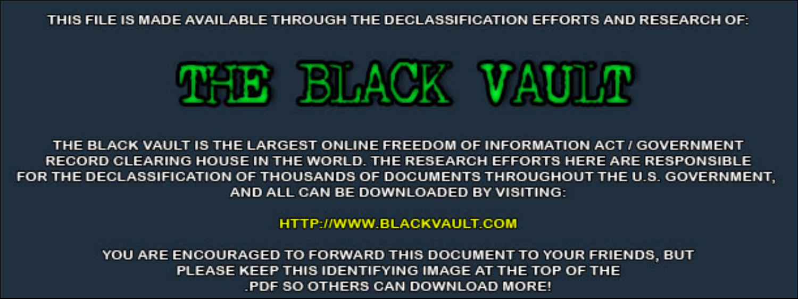THIS FILE IS MADE AVAILABLE THROUGH THE DECLASSIFICATION EFFORTS AND RESEARCH OF:



THE BLACK VAULT IS THE LARGEST ONLINE FREEDOM OF INFORMATION ACT / GOVERNMENT RECORD CLEARING HOUSE IN THE WORLD. THE RESEARCH EFFORTS HERE ARE RESPONSIBLE FOR THE DECLASSIFICATION OF THOUSANDS OF DOCUMENTS THROUGHOUT THE U.S. GOVERNMENT, AND ALL CAN BE DOWNLOADED BY VISITING:

**HTTP://WWW.BLACKVAULT.COM** 

YOU ARE ENCOURAGED TO FORWARD THIS DOCUMENT TO YOUR FRIENDS, BUT PLEASE KEEP THIS IDENTIFYING IMAGE AT THE TOP OF THE PDF SO OTHERS CAN DOWNLOAD MORE!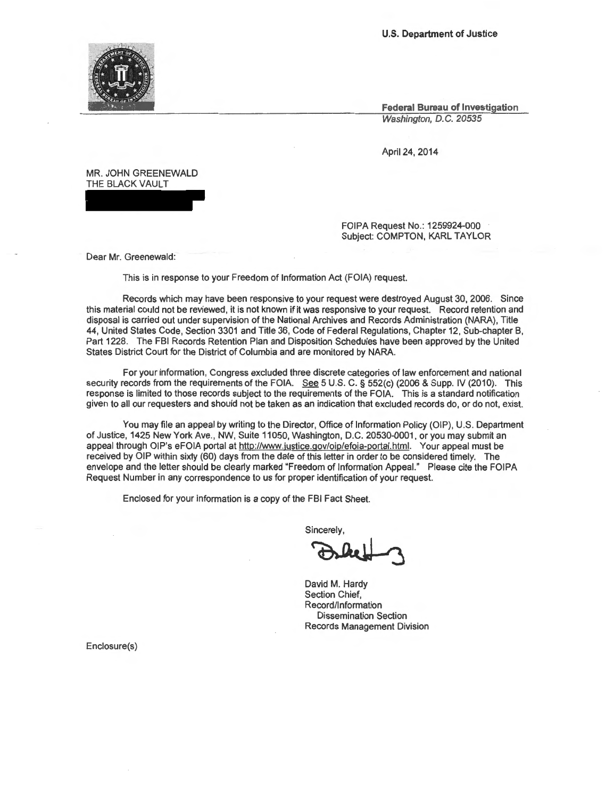**U.S. Department of Justice** 

**Federal Bureau of Investigation**  Washington, D.C. 20535

April 24, 2014

MR. JOHN GREENEWALD THE BLACK VAULT

> FOIPA Request No.: 1259924-000 Subject: COMPTON, KARL TAYLOR

Dear Mr. Greenewald:

This is in response to your Freedom of Information Act (FOIA) request.

Records which may have been responsive to your request were destroyed August 30, 2006. Since this material could not be reviewed, it is not known if it was responsive to your request. Record retention and disposal is carried out under supervision of the National Archives and Records Administration (NARA}, Title 44, United States Code, Section 3301 and Title 36, Code of Federal Regulations, Chapter 12, Sub-chapter B, Part 1228. The FBI Records Retention Plan and Disposition Schedules have been approved by the United States District Court for the District of Columbia and are monitored by NARA.

For your information, Congress excluded three discrete categories of law enforcement and national security records from the requirements of the FOIA. See 5 U.S. C. § 552(c) (2006 & Supp. IV (2010). This response is limited to those records subject to the requirements of the FOIA. This is a standard notification given to all our requesters and should not be taken as an indication that excluded records do, or do not, exist.

You may file an appeal by writing to the Director, Office of Information Policy (OIP), U.S. Department of Justice, 1425 New York Ave., NW, Suite 11050, Washington, D.C. 20530-0001, or you may submit an appeal through OIP's eFOIA portal at http://www.justice.gov/oip/efoia-portal.html. Your appeal must be received by OIP within sixty (60) days from the date of this letter in order to be considered timely. The envelope and the letter should be clearly marked "Freedom of Information Appeal." Please cite the FOIPA Request Number in any correspondence to us for proper identification of your request.

Enclosed for your information is a copy of the FBI Fact Sheet.

Sincerely,

FBI Fact Sheet.<br>incerely,<br>**D. Che Long Company** 

David M. Hardy Section Chief, Record/Information Dissemination Section Records Management Division

Enclosure(s)